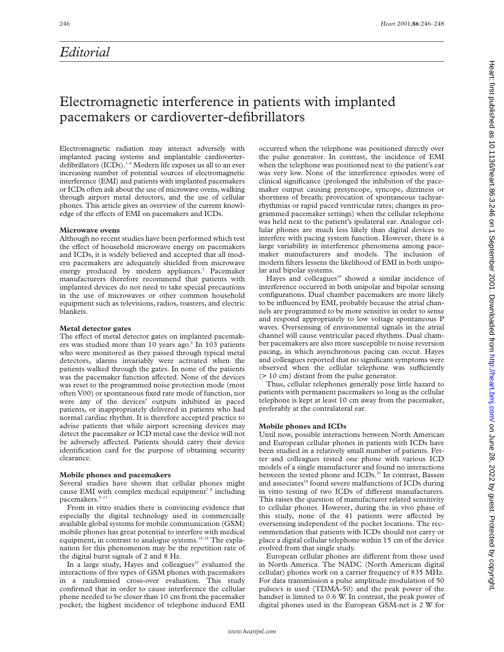## *Editorial*

# Electromagnetic interference in patients with implanted pacemakers or cardioverter-defibrillators

Electromagnetic radiation may interact adversely with implanted pacing systems and implantable cardioverterdefibrillators (ICDs).<sup>1-4</sup> Modern life exposes us all to an ever increasing number of potential sources of electromagnetic interference (EMI) and patients with implanted pacemakers or ICDs often ask about the use of microwave ovens, walking through airport metal detectors, and the use of cellular phones. This article gives an overview of the current knowledge of the effects of EMI on pacemakers and ICDs.

## **Microwave ovens**

Although no recent studies have been performed which test the effect of household microwave energy on pacemakers and ICDs, it is widely believed and accepted that all modern pacemakers are adequately shielded from microwave energy produced by modern appliances.<sup>5</sup> Pacemaker manufacturers therefore recommend that patients with implanted devices do not need to take special precautions in the use of microwaves or other common household equipment such as televisions, radios, toasters, and electric blankets.

## **Metal detector gates**

The effect of metal detector gates on implanted pacemakers was studied more than 10 years ago.<sup>6</sup> In 103 patients who were monitored as they passed through typical metal detectors, alarms invariably were activated when the patients walked through the gates. In none of the patients was the pacemaker function affected. None of the devices was reset to the programmed noise protection mode (most often V00) or spontaneous fixed rate mode of function, nor were any of the devices' outputs inhibited in paced patients, or inappropriately delivered in patients who had normal cardiac rhythm. It is therefore accepted practice to advise patients that while airport screening devices may detect the pacemaker or ICD metal case the device will not be adversely affected. Patients should carry their device identification card for the purpose of obtaining security clearance.

## **Mobile phones and pacemakers**

Several studies have shown that cellular phones might cause EMI with complex medical equipment<sup>78</sup> including pacemakers.<sup>9-13</sup>

From in vitro studies there is convincing evidence that especially the digital technology used in commercially available global systems for mobile communication (GSM) mobile phones has great potential to interfere with medical equipment, in contrast to analogue systems.<sup>14-18</sup> The explanation for this phenomenon may be the repetition rate of the digital burst signals of 2 and 8 Hz.

In a large study, Hayes and colleagues<sup>19</sup> evaluated the interactions of five types of GSM phones with pacemakers in a randomised cross-over evaluation. This study confirmed that in order to cause interference the cellular phone needed to be closer than 10 cm from the pacemaker pocket; the highest incidence of telephone induced EMI

occurred when the telephone was positioned directly over the pulse generator. In contrast, the incidence of EMI when the telephone was positioned next to the patient's ear was very low. None of the interference episodes were of clinical significance (prolonged the inhibition of the pacemaker output causing presyncope, syncope, dizziness or shortness of breath; provocation of spontaneous tachyarrhythmias or rapid paced ventricular rates; changes in programmed pacemaker settings) when the cellular telephone was held next to the patient's ipsilateral ear. Analogue cellular phones are much less likely than digital devices to interfere with pacing system function. However, there is a large variability in interference phenomena among pacemaker manufacturers and models. The inclusion of modern filters lessens the likelihood of EMI in both unipolar and bipolar systems.

Hayes and colleagues<sup>19</sup> showed a similar incidence of interference occurred in both unipolar and bipolar sensing configurations. Dual chamber pacemakers are more likely to be influenced by EMI, probably because the atrial channels are programmed to be more sensitive in order to sense and respond appropriately to low voltage spontaneous P waves. Oversensing of environmental signals in the atrial channel will cause ventricular paced rhythms. Dual chamber pacemakers are also more susceptible to noise reversion pacing, in which asynchronous pacing can occur. Hayes and colleagues reported that no significant symptoms were observed when the cellular telephone was sufficiently (> 10 cm) distant from the pulse generator.

Thus, cellular telephones generally pose little hazard to patients with permanent pacemakers so long as the cellular telephone is kept at least 10 cm away from the pacemaker, preferably at the contralateral ear.

## **Mobile phones and ICDs**

Until now, possible interactions between North American and European cellular phones in patients with ICDs have been studied in a relatively small number of patients. Fetter and colleagues tested one phone with various ICD models of a single manufacturer and found no interactions between the tested phone and ICDs.<sup>20</sup> In contrast, Bassen and associates<sup>18</sup> found severe malfunctions of ICDs during in vitro testing of two ICDs of different manufacturers. This raises the question of manufacturer related sensitivity to cellular phones. However, during the in vivo phase of this study, none of the 41 patients were affected by oversensing independent of the pocket locations. The recommendation that patients with ICDs should not carry or place a digital cellular telephone within 15 cm of the device evolved from that single study.

European cellular phones are different from those used in North America. The NADC (North American digital cellular) phones work on a carrier frequency of 835 MHz. For data transmission a pulse amplitude modulation of 50 pulses/s is used (TDMA-50) and the peak power of the handset is limited to 0.6 W. In contrast, the peak power of digital phones used in the European GSM-net is 2 W for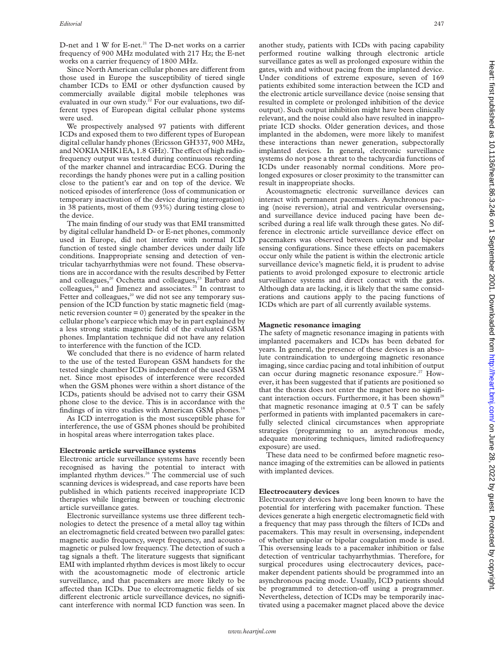D-net and 1 W for E-net.<sup>21</sup> The D-net works on a carrier frequency of 900 MHz modulated with 217 Hz; the E-net works on a carrier frequency of 1800 MHz.

Since North American cellular phones are different from those used in Europe the susceptibility of tiered single chamber ICDs to EMI or other dysfunction caused by commercially available digital mobile telephones was evaluated in our own study.<sup>22</sup> For our evaluations, two different types of European digital cellular phone systems were used.

We prospectively analysed 97 patients with different ICDs and exposed them to two different types of European digital cellular handy phones (Ericsson GH337, 900 MHz, and NOKIA NHK1EA, 1.8 GHz). The effect of high radiofrequency output was tested during continuous recording of the marker channel and intracardiac ECG. During the recordings the handy phones were put in a calling position close to the patient's ear and on top of the device. We noticed episodes of interference (loss of communication or temporary inactivation of the device during interrogation) in 38 patients, most of them (93%) during testing close to the device.

The main finding of our study was that EMI transmitted by digital cellular handheld D- or E-net phones, commonly used in Europe, did not interfere with normal ICD function of tested single chamber devices under daily life conditions. Inappropriate sensing and detection of ventricular tachyarrhythmias were not found. These observations are in accordance with the results described by Fetter and colleagues,<sup>20</sup> Occhetta and colleagues,<sup>23</sup> Barbaro and colleagues,<sup>24</sup> and Jimenez and associates.<sup>25</sup> In contrast to Fetter and colleagues, $20$  we did not see any temporary suspension of the ICD function by static magnetic field (magnetic reversion counter  $= 0$ ) generated by the speaker in the cellular phone's earpiece which may be in part explained by a less strong static magnetic field of the evaluated GSM phones. Implantation technique did not have any relation to interference with the function of the ICD.

We concluded that there is no evidence of harm related to the use of the tested European GSM handsets for the tested single chamber ICDs independent of the used GSM net. Since most episodes of interference were recorded when the GSM phones were within a short distance of the ICDs, patients should be advised not to carry their GSM phone close to the device. This is in accordance with the findings of in vitro studies with American GSM phones.<sup>18</sup>

As ICD interrogation is the most susceptible phase for interference, the use of GSM phones should be prohibited in hospital areas where interrogation takes place.

#### **Electronic article surveillance systems**

Electronic article surveillance systems have recently been recognised as having the potential to interact with implanted rhythm devices.<sup>26</sup> The commercial use of such scanning devices is widespread, and case reports have been published in which patients received inappropriate ICD therapies while lingering between or touching electronic article surveillance gates.

Electronic surveillance systems use three different technologies to detect the presence of a metal alloy tag within an electromagnetic field created between two parallel gates: magnetic audio frequency, swept frequency, and acoustomagnetic or pulsed low frequency. The detection of such a tag signals a theft. The literature suggests that significant EMI with implanted rhythm devices is most likely to occur with the acoustomagnetic mode of electronic article surveillance, and that pacemakers are more likely to be affected than ICDs. Due to electromagnetic fields of six different electronic article surveillance devices, no significant interference with normal ICD function was seen. In

another study, patients with ICDs with pacing capability performed routine walking through electronic article surveillance gates as well as prolonged exposure within the gates, with and without pacing from the implanted device. Under conditions of extreme exposure, seven of 169 patients exhibited some interaction between the ICD and the electronic article surveillance device (noise sensing that resulted in complete or prolonged inhibition of the device output). Such output inhibition might have been clinically relevant, and the noise could also have resulted in inappropriate ICD shocks. Older generation devices, and those implanted in the abdomen, were more likely to manifest these interactions than newer generation, subpectorally implanted devices. In general, electronic surveillance systems do not pose a threat to the tachycardia functions of ICDs under reasonably normal conditions. More prolonged exposures or closer proximity to the transmitter can result in inappropriate shocks.

Acoustomagnetic electronic surveillance devices can interact with permanent pacemakers. Asynchronous pacing (noise reversion), atrial and ventricular oversensing, and surveillance device induced pacing have been described during a real life walk through these gates. No difference in electronic article surveillance device effect on pacemakers was observed between unipolar and bipolar sensing configurations. Since these effects on pacemakers occur only while the patient is within the electronic article surveillance device's magnetic field, it is prudent to advise patients to avoid prolonged exposure to electronic article surveillance systems and direct contact with the gates. Although data are lacking, it is likely that the same considerations and cautions apply to the pacing functions of ICDs which are part of all currently available systems.

### **Magnetic resonance imaging**

The safety of magnetic resonance imaging in patients with implanted pacemakers and ICDs has been debated for years. In general, the presence of these devices is an absolute contraindication to undergoing magnetic resonance imaging, since cardiac pacing and total inhibition of output can occur during magnetic resonance exposure.<sup>27</sup> However, it has been suggested that if patients are positioned so that the thorax does not enter the magnet bore no significant interaction occurs. Furthermore, it has been shown<sup>28</sup> that magnetic resonance imaging at 0.5 T can be safely performed in patients with implanted pacemakers in carefully selected clinical circumstances when appropriate strategies (programming to an asynchronous mode, adequate monitoring techniques, limited radiofrequency exposure) are used.

These data need to be confirmed before magnetic resonance imaging of the extremities can be allowed in patients with implanted devices.

#### **Electrocautery devices**

Electrocautery devices have long been known to have the potential for interfering with pacemaker function. These devices generate a high energetic electromagnetic field with a frequency that may pass through the filters of ICDs and pacemakers. This may result in oversensing, independent of whether unipolar or bipolar coagulation mode is used. This oversensing leads to a pacemaker inhibition or false detection of ventricular tachyarrhythmias. Therefore, for surgical procedures using electrocautery devices, pacemaker dependent patients should be programmed into an asynchronous pacing mode. Usually, ICD patients should be programmed to detection-off using a programmer. Nevertheless, detection of ICDs may be temporarily inactivated using a pacemaker magnet placed above the device